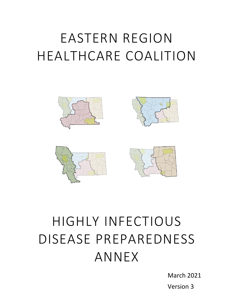# EASTERN REGION HEALTHCARE COALITION









# HIGHLY INFECTIOUS DISEASE PREPAREDNESS ANNEX

March 2021 Version 3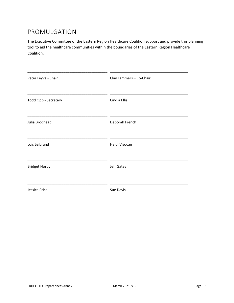## <span id="page-2-0"></span>PROMULGATION

The Executive Committee of the Eastern Region Healthcare Coalition support and provide this planning tool to aid the healthcare communities within the boundaries of the Eastern Region Healthcare Coalition.

<span id="page-2-1"></span>

| Peter Leyva - Chair  | Clay Lammers - Co-Chair |
|----------------------|-------------------------|
| Todd Opp - Secretary | Cindia Ellis            |
| Julia Brodhead       | Deborah French          |
| Lois Leibrand        | Heidi Visocan           |
| <b>Bridget Norby</b> | <b>Jeff Gates</b>       |
| Jessica Price        | Sue Davis               |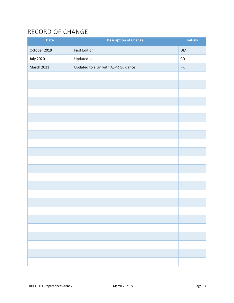## RECORD OF CHANGE

I

| <b>Date</b>       | <b>Description of Change</b>        | <b>Initials</b> |
|-------------------|-------------------------------------|-----------------|
| October 2019      | <b>First Edition</b>                | DM              |
| <b>July 2020</b>  | Updated                             | ${\sf CD}$      |
| <b>March 2021</b> | Updated to align with ASPR Guidance | $\mathsf{RK}$   |
|                   |                                     |                 |
|                   |                                     |                 |
|                   |                                     |                 |
|                   |                                     |                 |
|                   |                                     |                 |
|                   |                                     |                 |
|                   |                                     |                 |
|                   |                                     |                 |
|                   |                                     |                 |
|                   |                                     |                 |
|                   |                                     |                 |
|                   |                                     |                 |
|                   |                                     |                 |
|                   |                                     |                 |
|                   |                                     |                 |
|                   |                                     |                 |
|                   |                                     |                 |
|                   |                                     |                 |
|                   |                                     |                 |
|                   |                                     |                 |
|                   |                                     |                 |
|                   |                                     |                 |
|                   |                                     |                 |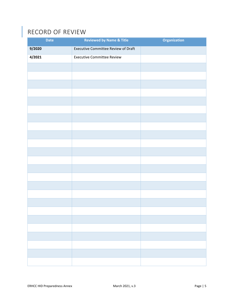## <span id="page-4-0"></span>RECORD OF REVIEW

| <b>Date</b> | <b>Reviewed by Name &amp; Title</b> | <b>Organization</b> |
|-------------|-------------------------------------|---------------------|
| 9/2020      | Executive Committee Review of Draft |                     |
| 4/2021      | <b>Executive Committee Review</b>   |                     |
|             |                                     |                     |
|             |                                     |                     |
|             |                                     |                     |
|             |                                     |                     |
|             |                                     |                     |
|             |                                     |                     |
|             |                                     |                     |
|             |                                     |                     |
|             |                                     |                     |
|             |                                     |                     |
|             |                                     |                     |
|             |                                     |                     |
|             |                                     |                     |
|             |                                     |                     |
|             |                                     |                     |
|             |                                     |                     |
|             |                                     |                     |
|             |                                     |                     |
|             |                                     |                     |
|             |                                     |                     |
|             |                                     |                     |
|             |                                     |                     |
|             |                                     |                     |
|             |                                     |                     |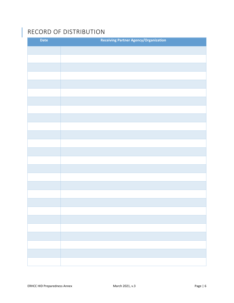## <span id="page-5-0"></span>RECORD OF DISTRIBUTION

| Date | <b>Receiving Partner Agency/Organization</b> |
|------|----------------------------------------------|
|      |                                              |
|      |                                              |
|      |                                              |
|      |                                              |
|      |                                              |
|      |                                              |
|      |                                              |
|      |                                              |
|      |                                              |
|      |                                              |
|      |                                              |
|      |                                              |
|      |                                              |
|      |                                              |
|      |                                              |
|      |                                              |
|      |                                              |
|      |                                              |
|      |                                              |
|      |                                              |
|      |                                              |
|      |                                              |
|      |                                              |
|      |                                              |
|      |                                              |
|      |                                              |
|      |                                              |
|      |                                              |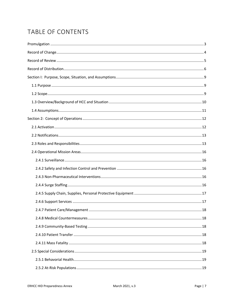## TABLE OF CONTENTS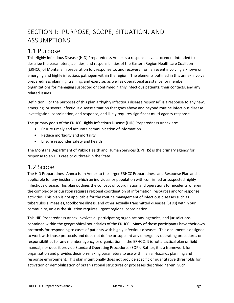## <span id="page-8-0"></span>SECTION I: PURPOSE, SCOPE, SITUATION, AND ASSUMPTIONS

## <span id="page-8-1"></span>1.1 Purpose

This Highly Infectious Disease (HID) Preparedness Annex is a response level document intended to describe the parameters, abilities, and responsibilities of the Eastern Region Healthcare Coalition (ERHCC) of Montana in preparation for, response to, and recovery from an event involving a known or emerging and highly infectious pathogen within the region. The elements outlined in this annex involve preparedness planning, training, and exercise, as well as operational assistance for member organizations for managing suspected or confirmed highly infectious patients, their contacts, and any related issues.

Definition: For the purposes of this plan a "highly infectious disease response" is a response to any new, emerging, or severe infectious disease situation that goes above and beyond routine infectious disease investigation, coordination, and response; and likely requires significant multi-agency response.

The primary goals of the ERHCC Highly Infectious Disease (HID) Preparedness Annex are:

- Ensure timely and accurate communication of information
- Reduce morbidity and mortality
- Ensure responder safety and health

The Montana Department of Public Health and Human Services (DPHHS) is the primary agency for response to an HID case or outbreak in the State.

### <span id="page-8-2"></span>1.2 Scope

The HID Preparedness Annex is an Annex to the larger ERHCC Preparedness and Response Plan and is applicable for any incident in which an individual or population with confirmed or suspected highly infectious disease. This plan outlines the concept of coordination and operations for incidents wherein the complexity or duration requires regional coordination of information, resources and/or response activities. This plan is not applicable for the routine management of infectious diseases such as tuberculosis, measles, foodborne illness, and other sexually transmitted diseases (STDs) within our community, unless the situation requires urgent regional coordination.

This HID Preparedness Annex involves all participating organizations, agencies, and jurisdictions contained within the geographical boundaries of the ERHCC. Many of these participants have their own protocols for responding to cases of patients with highly infectious diseases. This document is designed to work with those protocols and does not define or supplant any emergency operating procedures or responsibilities for any member agency or organization in the ERHCC. It is not a tactical plan or field manual, nor does it provide Standard Operating Procedures (SOP). Rather, it is a framework for organization and provides decision-making parameters to use within an all-hazards planning and response environment. This plan intentionally does not provide specific or quantitative thresholds for activation or demobilization of organizational structures or processes described herein. Such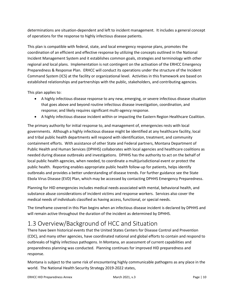determinations are situation-dependent and left to incident management. It includes a general concept of operations for the response to highly infectious disease patients.

This plan is compatible with federal, state, and local emergency response plans, promotes the coordination of an efficient and effective response by utilizing the concepts outlined in the National Incident Management System and it establishes common goals, strategies and terminology with other regional and local plans. Implementation is not contingent on the activation of the ERHCC Emergency Preparedness & Response Plan. ERHCC will conduct its operations under the structure of the Incident Command System (ICS) at the facility or organizational level. Activities in this framework are based on established relationships and partnerships with the public, stakeholders, and contributing agencies.

This plan applies to:

- A highly infectious disease response to any new, emerging, or severe infectious disease situation that goes above and beyond routine infectious disease investigation, coordination, and response; and likely requires significant multi-agency response.
- A highly infectious disease incident within or impacting the Eastern Region Healthcare Coalition.

The primary authority for initial response to, and management of, emergencies rests with local governments. Although a highly infectious disease might be identified at any healthcare facility, local and tribal public health departments will respond with identification, treatment, and community containment efforts. With assistance of other State and Federal partners, Montana Department of Public Health and Human Services (DPHHS) collaborates with local agencies and healthcare coalitions as needed during disease outbreaks and investigations. DPHHS has the authority to act on the behalf of local public health agencies, when needed, to coordinate a multijurisdictional event or protect the public health. Reporting enables appropriate public health follow-up for patients, helps identify outbreaks and provides a better understanding of disease trends. For further guidance see the State Ebola Virus Disease (EVD) Plan, which may be accessed by contacting DPHHS Emergency Preparedness.

Planning for HID emergencies includes medical needs associated with mental, behavioral health, and substance abuse considerations of incident victims and response workers. Services also cover the medical needs of individuals classified as having access, functional, or special needs.

The timeframe covered in this Plan begins when an infectious disease incident is declared by DPHHS and will remain active throughout the duration of the incident as determined by DPHHS.

## <span id="page-9-0"></span>1.3 Overview/Background of HCC and Situation

There have been historical events that the United States Centers for Disease Control and Prevention (CDC), and many other agencies, have coordinated national and global efforts to contain and respond to outbreaks of highly infectious pathogens. In Montana, an assessment of current capabilities and preparedness planning was conducted. Planning continues for improved HID preparedness and response.

Montana is subject to the same risk of encountering highly communicable pathogens as any place in the world. The National Health Security Strategy 2019-2022 states,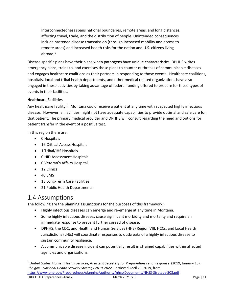Interconnectedness spans national boundaries, remote areas, and long distances, affecting travel, trade, and the distribution of people. Unintended consequences include hastened disease transmission (through increased mobility and access to remote areas) and increased health risks for the nation and U.S. citizens living abroad. $1$ 

Disease specific plans have their place when pathogens have unique characteristics. DPHHS writes emergency plans, trains to, and exercises those plans to counter outbreaks of communicable diseases and engages healthcare coalitions as their partners in responding to those events. Healthcare coalitions, hospitals, local and tribal health departments, and other medical related organizations have also engaged in these activities by taking advantage of federal funding offered to prepare for these types of events in their facilities.

#### **Healthcare Facilities**

Any healthcare facility in Montana could receive a patient at any time with suspected highly infectious disease. However, all facilities might not have adequate capabilities to provide optimal and safe care for that patient. The primary medical provider and DPHHS will consult regarding the need and options for patient transfer in the event of a positive test.

In this region there are:

- 0 Hospitals
- 16 Critical Access Hospitals
- 1 Tribal/IHS Hospitals
- 0 HID Assessment Hospitals
- 0 Veteran's Affairs Hospital
- 12 Clinics
- 40 EMS

 $\overline{a}$ 

- 13 Long-Term Care Facilities
- 21 Public Health Departments

## <span id="page-10-0"></span>1.4 Assumptions

The following are the planning assumptions for the purposes of this framework:

- Highly infectious diseases can emerge and re-emerge at any time in Montana.
- Some highly infectious diseases cause significant morbidity and mortality and require an immediate response to prevent further spread of disease.
- DPHHS, the CDC, and Health and Human Services (HHS) Region VIII, HCCs, and Local Health Jurisdictions (LHJs) will coordinate responses to outbreaks of a highly infectious disease to sustain community resilience.
- A communicable disease incident can potentially result in strained capabilities within affected agencies and organizations.

ERHCC HID Preparedness Annex **March 2021, v.3** Page | 11 <sup>1</sup> United States, Human Health Services, Assistant Secretary for Preparedness and Response. (2019, January 15). *Phe.gov - National Health Security Strategy 2019-2022*. Retrieved April 23, 2019, from <https://www.phe.gov/Preparedness/planning/authority/nhss/Documents/NHSS-Strategy-508.pdf>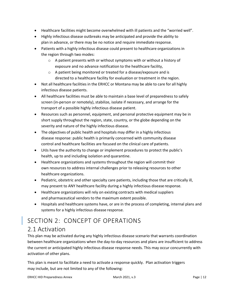- Healthcare facilities might become overwhelmed with ill patients and the "worried well".
- Highly infectious disease outbreaks may be anticipated and provide the ability to plan in advance, or there may be no notice and require immediate response.
- Patients with a highly infectious disease could present to healthcare organizations in the region through two modes:
	- o A patient presents with or without symptoms with or without a history of exposure and no advance notification to the healthcare facility,
	- o A patient being monitored or treated for a disease/exposure and is directed to a healthcare facility for evaluation or treatment in the region.
- Not all healthcare facilities in the ERHCC or Montana may be able to care for all highly infectious disease patients.
- All healthcare facilities must be able to maintain a base level of preparedness to safely screen (in-person or remotely), stabilize, isolate if necessary, and arrange for the transport of a possible highly infectious disease patient.
- Resources such as personnel, equipment, and personal protective equipment may be in short supply throughout the region, state, country, or the globe depending on the severity and nature of the highly infectious disease.
- The objectives of public health and hospitals may differ in a highly infectious disease response: public health is primarily concerned with community disease control and healthcare facilities are focused on the clinical care of patients.
- LHJs have the authority to change or implement procedures to protect the public's health, up to and including isolation and quarantine.
- Healthcare organizations and systems throughout the region will commit their own resources to address internal challenges prior to releasing resources to other healthcare organizations.
- Pediatric, obstetric and other specialty care patients, including those that are critically ill, may present to ANY healthcare facility during a highly infectious disease response.
- Healthcare organizations will rely on existing contracts with medical suppliers and pharmaceutical vendors to the maximum extent possible.
- Hospitals and healthcare systems have, or are in the process of completing, internal plans and systems for a highly infectious disease response.

## <span id="page-11-1"></span><span id="page-11-0"></span>SECTION 2: CONCEPT OF OPERATIONS 2.1 Activation

This plan may be activated during any highly infectious disease scenario that warrants coordination between healthcare organizations when the day-to-day resources and plans are insufficient to address the current or anticipated highly infectious disease response needs. This may occur concurrently with activation of other plans.

This plan is meant to facilitate a need to activate a response quickly. Plan activation triggers may include, but are not limited to any of the following: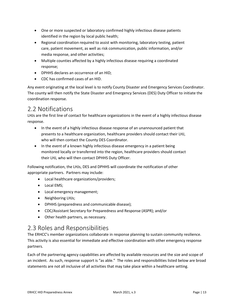- One or more suspected or laboratory confirmed highly infectious disease patients identified in the region by local public health;
- Regional coordination required to assist with monitoring, laboratory testing, patient care, patient movement, as well as risk communication, public information, and/or media response, and other activities;
- Multiple counties affected by a highly infectious disease requiring a coordinated response;
- DPHHS declares an occurrence of an HID;
- CDC has confirmed cases of an HID.

Any event originating at the local level is to notify County Disaster and Emergency Services Coordinator. The county will then notify the State Disaster and Emergency Services (DES) Duty Officer to initiate the coordination response.

## <span id="page-12-0"></span>2.2 Notifications

LHJs are the first line of contact for healthcare organizations in the event of a highly infectious disease response.

- In the event of a highly infectious disease response of an unannounced patient that presents to a healthcare organization, healthcare providers should contact their LHJ, who will then contact the County DES Coordinator.
- In the event of a known highly infectious disease emergency in a patient being monitored locally or transferred into the region, healthcare providers should contact their LHJ, who will then contact DPHHS Duty Officer.

Following notification, the LHJs, DES and DPHHS will coordinate the notification of other appropriate partners. Partners may include:

- Local healthcare organizations/providers;
- Local EMS;
- Local emergency management;
- Neighboring LHJs;
- DPHHS (preparedness and communicable disease);
- CDC/Assistant Secretary for Preparedness and Response (ASPR); and/or
- Other health partners, as necessary.

## <span id="page-12-1"></span>2.3 Roles and Responsibilities

The ERHCC's member organizations collaborate in response planning to sustain community resilience. This activity is also essential for immediate and effective coordination with other emergency response partners.

Each of the partnering agency capabilities are affected by available resources and the size and scope of an incident. As such, response support is "as able." The roles and responsibilities listed below are broad statements are not all inclusive of all activities that may take place within a healthcare setting.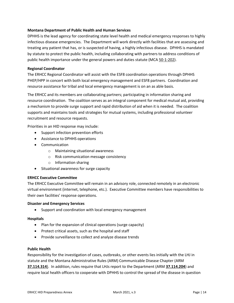#### **Montana Department of Public Health and Human Services**

DPHHS is the lead agency for coordinating state level health and medical emergency responses to highly infectious disease emergencies. The Department will work directly with facilities that are assessing and treating any patient that has, or is suspected of having, a highly infectious disease. DPHHS is mandated by statute to protect the public health, including collaborating with partners to address conditions of public health importance under the general powers and duties statute (MCA [50-1-202\)](http://leg.mt.gov/bills/mca/50/1/50-1-202.htm).

#### **Regional Coordinator**

The ERHCC Regional Coordinator will assist with the ESF8 coordination operations through DPHHS PHEP/HPP in concert with both local emergency management and ESF8 partners. Coordination and resource assistance for tribal and local emergency management is on an as able basis.

The ERHCC and its members are collaborating partners; participating in information sharing and resource coordination. The coalition serves as an integral component for medical mutual aid, providing a mechanism to provide surge support and rapid distribution of aid when it is needed. The coalition supports and maintains tools and strategies for mutual systems, including professional volunteer recruitment and resource requests.

Priorities in an HID response may include:

- Support infection prevention efforts
- Assistance to DPHHS operations
- Communication
	- o Maintaining situational awareness
	- o Risk communication message consistency
	- o Information sharing
- Situational awareness for surge capacity

#### **ERHCC Executive Committee**

The ERHCC Executive Committee will remain in an advisory role, connected remotely in an electronic virtual environment (internet, telephone, etc.). Executive Committee members have responsibilities to their own facilities' response operations.

#### **Disaster and Emergency Services**

• Support and coordination with local emergency management

#### **Hospitals**

- Plan for the expansion of clinical operations (surge capacity)
- Protect critical assets, such as the hospital and staff
- Provide surveillance to collect and analyze disease trends

#### **Public Health**

Responsibility for the investigation of cases, outbreaks, or other events lies initially with the LHJ in statute and the Montana Administrative Rules (ARM) Communicable Disease Chapter (ARM **[37.114.314](http://www.mtrules.org/gateway/ruleno.asp?RN=37%2E114%2E314)**). In addition, rules require that LHJs report to the Department (ARM **[37.114.204](http://www.mtrules.org/gateway/ruleno.asp?RN=37%2E114%2E204)**) and require local health officers to cooperate with DPHHS to control the spread of the disease in question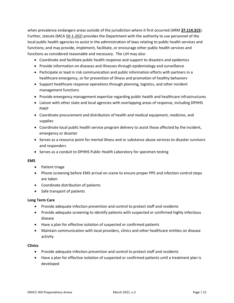when prevalence endangers areas outside of the jurisdiction where it first occurred (ARM **[37.114.315](http://www.mtrules.org/gateway/ruleno.asp?RN=37%2E114%2E315)**). Further, statute (MCA 50-1-202) provides the Department with the authority to use personnel of the local public health agencies to assist in the administration of laws relating to public health services and functions; and may provide, implement, facilitate, or encourage other public health services and functions as considered reasonable and necessary. The LJH may also:

- Coordinate and facilitate public health response and support to disasters and epidemics
- Provide information on diseases and illnesses through epidemiology and surveillance
- Participate or lead in risk communication and public information efforts with partners in a healthcare emergency, or for prevention of illness and promotion of healthy behaviors
- Support healthcare response operations through planning, logistics, and other incident management functions
- Provide emergency management expertise regarding public health and healthcare infrastructures
- Liaison with other state and local agencies with overlapping areas of response, including DPHHS PHEP
- Coordinate procurement and distribution of health and medical equipment, medicine, and supplies
- Coordinate local public health service program delivery to assist those affected by the incident, emergency or disaster
- Serves as a resource point for mental illness and or substance abuse services to disaster survivors and responders
- Serves as a conduit to DPHHS Public Health Laboratory for specimen testing

#### **EMS**

- Patient triage
- Phone screening before EMS arrival on scene to ensure proper PPE and infection control steps are taken
- Coordinate distribution of patients
- Safe transport of patients

#### **Long Term Care**

- Provide adequate infection prevention and control to protect staff and residents
- Provide adequate screening to identify patients with suspected or confirmed highly infectious disease
- Have a plan for effective isolation of suspected or confirmed patients
- Maintain communication with local providers, clinics and other healthcare entities on disease activity

#### **Clinics**

- Provide adequate infection prevention and control to protect staff and residents
- Have a plan for effective isolation of suspected or confirmed patients until a treatment plan is developed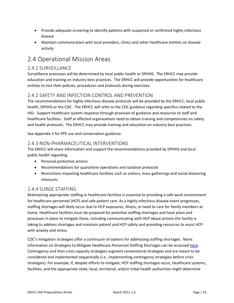- Provide adequate screening to identify patients with suspected or confirmed highly infectious disease
- Maintain communication with local providers, clinics and other healthcare entities on disease activity

## <span id="page-15-0"></span>2.4 Operational Mission Areas

#### <span id="page-15-1"></span>2.4.1 SURVEILLANCE

Surveillance processes will be determined by local public health or DPHHS. The ERHCC may provide education and training on industry best practices. The ERHCC will provide opportunities for healthcare entities to test their policies, procedures and protocols during exercises.

#### <span id="page-15-2"></span>2.4.2 SAFETY AND INFECTION CONTROL AND PREVENTION

The recommendations for highly infectious disease protocols will be provided by the ERHCC, local public health, DPHHS or the CDC. The ERHCC will refer to the CDC guidance regarding specifics related to the HID. Support healthcare system response through provision of guidance and resources to staff and healthcare facilities. Staff at affected organizations need to obtain training and competencies on safety and health protocols. The ERHCC may provide training and education on industry best practices.

See Appendix 3 for PPE use and conservation guidance.

#### <span id="page-15-3"></span>2.4.3 NON-PHARMACEUTICAL INTERVENTIONS

The ERHCC will share information and support the recommendations provided by DPHHS and local public health regarding:

- Personal protective actions
- Recommendations for quarantine operations and isolation protocols
- Restrictions impacting healthcare facilities such as visitors, mass gatherings and social distancing measures

#### <span id="page-15-4"></span>2.4.4 SURGE STAFFING

Maintaining appropriate staffing in healthcare facilities is essential to providing a safe work environment for healthcare personnel (HCP) and safe patient care. As a highly infectious disease event progresses, staffing shortages will likely occur due to HCP exposures, illness, or need to care for family members at home. Healthcare facilities must be prepared for potential staffing shortages and have plans and processes in place to mitigate these, including communicating with HCP about actions the facility is taking to address shortages and maintain patient and HCP safety and providing resources to assist HCP with anxiety and stress.

CDC's mitigation strategies offer a continuum of options for addressing staffing shortages. More information on Strategies to Mitigate Healthcare Personnel Staffing Shortages can be accessed [here.](https://www.cdc.gov/coronavirus/2019-ncov/hcp/mitigating-staff-shortages.html) Contingency and then crisis capacity strategies augment conventional strategies and are meant to be considered and implemented sequentially (i.e., implementing contingency strategies before crisis strategies). For example, if, despite efforts to mitigate, HCP staffing shortages occur, healthcare systems, facilities, and the appropriate state, local, territorial, and/or tribal health authorities might determine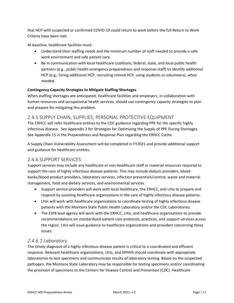that HCP with suspected or confirmed COVID-19 could return to work before the full Return to Work Criteria have been met.

At baseline, healthcare facilities must:

- Understand their staffing needs and the minimum number of staff needed to provide a safe work environment and safe patient care.
- Be in communication with local healthcare coalitions, federal, state, and local public health partners (e.g., public health emergency preparedness and response staff) to identify additional HCP (e.g., hiring additional HCP, recruiting retired HCP, using students or volunteers), when needed.

#### **Contingency Capacity Strategies to Mitigate Staffing Shortages**

When staffing shortages are anticipated, healthcare facilities and employers, in collaboration with human resources and occupational health services, should use contingency capacity strategies to plan and prepare for mitigating this problem.

#### <span id="page-16-0"></span>2.4.5 SUPPLY CHAIN, SUPPLIES, PERSONAL PROTECTIVE EQUIPMENT

The ERHCC will refer healthcare entities to the CDC guidance regarding PPE for the specific highly infectious disease. See Appendix 3 for Strategies for Optimizing the Supply of PPE During Shortages. See Appendix 15 in the Preparedness and Response Plan regarding the ERHCC Cache.

A Supply Chain Vulnerability Assessment will be completed in FY2021 and provide additional support and guidance for healthcare entities.

#### <span id="page-16-1"></span>2.4.6 SUPPORT SERVICES

Support services may include any healthcare or non-healthcare staff or material resources required to support the care of highly infectious disease patients. This may include dialysis providers, blood banks/blood product providers, laboratory services, infection prevention/control, waste and material management, food and dietary services, and environmental services.

- Support service providers will work with local healthcare, the ERHCC, and LHJs to prepare and respond by assisting healthcare organizations in the care of highly infectious disease patients.
- LHJs will work with healthcare organizations to coordinate testing of highly infectious disease patients with the Montana State Public Health Laboratory and/or the CDC Laboratories.
- The ESF8 lead agency will work with the ERHCC, LHJs, and healthcare organizations to provide recommendations on standardized patient care protocols, practices, and support services across the region. LHJs will issue guidance to healthcare organizations and providers concerning these issues.

#### *2.4.6.1 Laboratory*

The timely diagnosis of a highly infectious disease patient is critical to a coordinated and efficient response. Relevant healthcare organizations, LHJs, and DPHHS should coordinate with appropriate laboratories to test specimens and communicate results of laboratory testing. Based on the suspected pathogen, the Montana State Laboratory may be responsible for testing specimens and/or coordinating the provision of specimens to the Centers for Disease Control and Prevention (CDC). Healthcare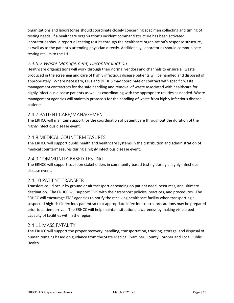organizations and laboratories should coordinate closely concerning specimen collecting and timing of testing needs. If a healthcare organization's incident command structure has been activated, laboratories should report all testing results through the healthcare organization's response structure, as well as to the patient's attending physician directly. Additionally, laboratories should communicate testing results to the LHJ.

#### *2.4.6.2 Waste Management, Decontamination*

Healthcare organizations will work through their normal vendors and channels to ensure all waste produced in the screening and care of highly infectious disease patients will be handled and disposed of appropriately. Where necessary, LHJs and DPHHS may coordinate or contract with specific waste management contractors for the safe handling and removal of waste associated with healthcare for highly infectious disease patients as well as coordinating with the appropriate utilities as needed. Waste management agencies will maintain protocols for the handling of waste from highly infectious disease patients.

#### <span id="page-17-0"></span>2.4.7 PATIENT CARE/MANAGEMENT

The ERHCC will maintain support for the coordination of patient care throughout the duration of the highly infectious disease event.

#### <span id="page-17-1"></span>2.4.8 MEDICAL COUNTERMEASURES

The ERHCC will support public health and healthcare systems in the distribution and administration of medical countermeasures during a highly infectious disease event.

#### <span id="page-17-2"></span>2.4.9 COMMUNITY-BASED TESTING

The ERHCC will support coalition stakeholders in community-based testing during a highly infectious disease event.

#### <span id="page-17-3"></span>2.4.10 PATIENT TRANSFER

Transfers could occur by ground or air transport depending on patient need, resources, and ultimate destination. The ERHCC will support EMS with their transport policies, practices, and procedures. The ERHCC will encourage EMS agencies to notify the receiving healthcare facility when transporting a suspected high-risk infectious patient so that appropriate infection control precautions may be prepared prior to patient arrival. The ERHCC will help maintain situational awareness by making visible bed capacity of facilities within the region.

#### <span id="page-17-4"></span>2.4.11 MASS FATALITY

The ERHCC will support the proper recovery, handling, transportation, tracking, storage, and disposal of human remains based on guidance from the State Medical Examiner, County Coroner and Local Public Health.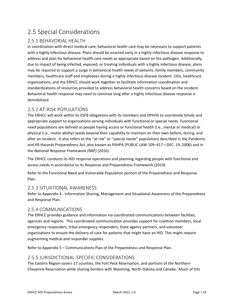## <span id="page-18-0"></span>2.5 Special Considerations

#### <span id="page-18-1"></span>2.5.1 BEHAVORIAL HEALTH

In coordination with direct medical care, behavioral health care may be necessary to support patients with a highly infectious disease. Plans should be enacted early in a highly infectious disease response to address and plan for behavioral health care needs as appropriate based on the pathogen. Additionally, due to impact of being infected, exposed, or treating individuals with a highly infectious disease, plans may be required to support a surge in behavioral health needs of patients, family members, community members, healthcare staff and employees during a highly infectious disease incident. LHJs, healthcare organizations, and the ERHCC should work together to facilitate information coordination and standardizations of resources provided to address behavioral health concerns based on the incident. Behavioral health response may need to continue long after a highly infectious disease response is demobilized.

#### <span id="page-18-2"></span>2.5.2 AT-RISK POPULATIONS

The ERHCC will work within its ESF8 obligations with its members and DPHHS to coordinate timely and appropriate support to organizations serving individuals with functional or special needs. Functional need populations are defined as people having access or functional health (i.e., mental or medical) or physical (i.e., motor ability) needs beyond their capability to maintain on their own before, during, and after an incident. It also refers to the "at risk" or "special needs" populations described in the Pandemic and All-Hazards Preparedness Act, also known as PAHPA (PUBLIC LAW 109–417—DEC. 19, 2006) and in the *National Response Framework (NRF)* (2016).

The ERHCC conducts its HID response operations and planning regarding people with functional and access needs in accordance to its Response and Preparedness Framework (2019).

Refer to the Functional Need and Vulnerable Population portion of the Preparedness and Response Plan.

#### <span id="page-18-3"></span>2.5.3 SITUATIONAL AWARENESS

Refer to Appendix 4 - Information Sharing, Management and Situational Awareness of the Preparedness and Response Plan.

#### <span id="page-18-4"></span>2.5.4 COMMUNICATIONS

The ERHCC provides guidance and information via coordinated communications between facilities, agencies and regions. This coordinated communication provides support for coalition members, local emergency responders, tribal emergency responders, State agency partners, and volunteer organizations to ensure the delivery of care for patients that might have an HID. This might require augmenting medical and responder supplies.

Refer to Appendix 5 – Communications Plan of the Preparedness and Response Plan.

#### <span id="page-18-5"></span>2.5.5 JURISDICTIONAL-SPECIFIC CONSIDERATIONS

The Eastern Region covers 17 counties, the Fort Peck Reservation, and portions of the Northern Cheyenne Reservation while sharing borders with Wyoming, North Dakota and Canada. Much of this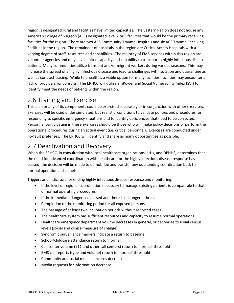region is designated rural and facilities have limited capacities. The Eastern Region does not house any American College of Surgeon (ASC) designated level 2 or 3 facilities that would be the primary receiving facilities for the region. There are two ACS Community Trauma Hospitals and six ACS Trauma Receiving Facilities in the region. The remainder of hospitals in the region are Critical Access Hospitals with a varying degree of staff, resources and capabilities. The majority of EMS services within this region are volunteer agencies and may have limited capacity and capability to transport a highly infectious disease patient. Many communities utilize transient and/or migrant workers during various seasons. This may increase the spread of a highly infectious disease and lead to challenges with isolation and quarantine as well as contract tracing. While telehealth is a viable option for many facilities, facilities may encounter a lack of providers for consults. The ERHCC will utilize emPower and Social Vulnerability Index (SVI) to identify meet the needs of patients within the region.

## <span id="page-19-0"></span>2.6 Training and Exercise

This plan or any of its components could be exercised separately or in conjunction with other exercises. Exercises will be used under simulated, but realistic, conditions to validate policies and procedures for responding to specific emergency situations and to identify deficiencies that need to be corrected. Personnel participating in these exercises should be those who will make policy decisions or perform the operational procedures during an actual event (i.e. critical personnel). Exercises are conducted under no-fault pretenses. The ERHCC will identify and share as many opportunities as possible.

## <span id="page-19-1"></span>2.7 Deactivation and Recovery

When the ERHCC, in consultation with local healthcare organizations, LHJs, and DPHHS, determines that the need for advanced coordination with healthcare for the highly infectious disease response has passed, the decision will be made to demobilize and transfer any outstanding coordination back to normal operational channels.

Triggers and indicators for ending highly infectious disease response and monitoring:

- If the level of regional coordination necessary to manage existing patients is comparable to that of normal operating procedures
- If the immediate danger has passed and there is no longer a threat
- Completion of the monitoring period for all exposed persons.
- The passage of at least two incubation periods without reported cases.
- The healthcare system has sufficient resources and capacity to resume normal operations
- Healthcare emergency department volume decreases in general, or decreases to usual census levels (social and clinical measure of change)
- Syndromic surveillance markers indicate a return to baseline
- School/childcare attendance return to 'normal'
- Call center volume (911 and other call centers) return to 'normal' threshold
- EMS call reports (type and volume) return to 'normal' threshold
- Community and social media concerns decrease
- Media requests for information decrease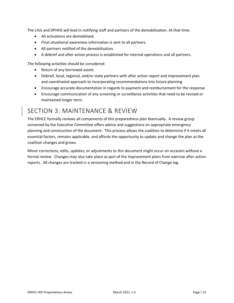The LHJs and DPHHS will lead in notifying staff and partners of the demobilization. At that time:

- All activations are demobilized.
- Final situational awareness information is sent to all partners.
- All partners notified of the demobilization.
- A debrief and after action process is established for internal operations and all partners.

The following activities should be considered:

- Return of any borrowed assets
- Debrief, local, regional, and/or state partners with after action report and improvement plan and coordinated approach to incorporating recommendations into future planning
- Encourage accurate documentation in regards to payment and reimbursement for the response
- Encourage communication of any screening or surveillance activities that need to be revised or maintained longer term.

### <span id="page-20-0"></span>SECTION 3: MAINTENANCE & REVIEW

The ERHCC formally reviews all components of this preparedness plan biannually. A review group convened by the Executive Committee offers advice and suggestions on appropriate emergency planning and construction of the document. This process allows the coalition to determine if it meets all essential factors, remains applicable, and affords the opportunity to update and change the plan as the coalition changes and grows.

Minor corrections, edits, updates, or adjustments to this document might occur on occasion without a formal review. Changes may also take place as part of the improvement plans from exercise after action reports. All changes are tracked in a versioning method and in the Record of Change log.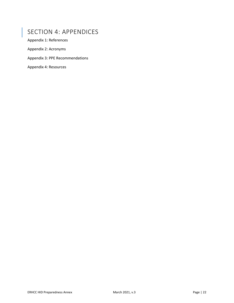## <span id="page-21-0"></span>SECTION 4: APPENDICES

Appendix 1: References

Appendix 2: Acronyms

Appendix 3: PPE Recommendations

Appendix 4: Resources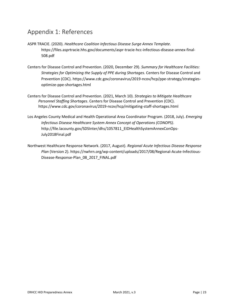## <span id="page-22-0"></span>Appendix 1: References

- ASPR TRACIE. (2020). *Healthcare Coalition Infectious Disease Surge Annex Template*. https://files.asprtracie.hhs.gov/documents/aspr-tracie-hcc-infectious-disease-annex-final-508.pdf
- Centers for Disease Control and Prevention. (2020, December 29). *Summary for Healthcare Facilities: Strategies for Optimizing the Supply of PPE during Shortages*. Centers for Disease Control and Prevention (CDC). https://www.cdc.gov/coronavirus/2019-ncov/hcp/ppe-strategy/strategiesoptimize-ppe-shortages.html
- Centers for Disease Control and Prevention. (2021, March 10). *Strategies to Mitigate Healthcare Personnel Staffing Shortages*. Centers for Disease Control and Prevention (CDC). https://www.cdc.gov/coronavirus/2019-ncov/hcp/mitigating-staff-shortages.html
- Los Angeles County Medical and Health Operational Area Coordinator Program. (2018, July). *Emerging Infectious Disease Healthcare System Annex Concept of Operations (CONOPS)*. http://file.lacounty.gov/SDSInter/dhs/1057811\_EIDHealthSystemAnnexConOps-July2018Final.pdf
- Northwest Healthcare Response Network. (2017, August). *Regional Acute Infectious Disease Response Plan* (Version 2). https://nwhrn.org/wp-content/uploads/2017/08/Regional-Acute-Infectious-Disease-Response-Plan\_08\_2017\_FINAL.pdf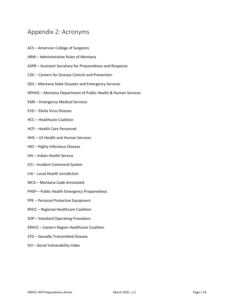## <span id="page-23-0"></span>Appendix 2: Acronyms

- ACS American College of Surgeons
- ARM Administrative Rules of Montana
- ASPR Assistant Secretary for Preparedness and Response
- CDC Centers for Disease Control and Prevention
- DES Montana State Disaster and Emergency Services
- DPHHS Montana Department of Public Health & Human Services
- EMS Emergency Medical Services
- EVD Ebola Virus Disease
- HCC Healthcare Coalition
- HCP Health Care Personnel
- HHS US Health and Human Services
- HID Highly Infectious Disease
- IHS Indian Health Service
- ICS Incident Command System
- LHJ Local Health Jurisdiction
- MCA Montana Code Annotated
- PHEP Public Health Emergency Preparedness
- PPE Personal Protective Equipment
- RHCC Regional Healthcare Coalition
- SOP Standard Operating Procedure
- ERHCC Eastern Region Healthcare Coalition
- STD Sexually Transmitted Disease
- SVI Social Vulnerability Index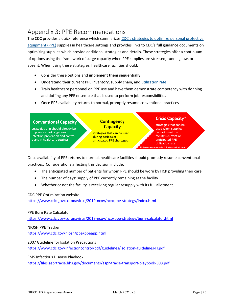## <span id="page-24-0"></span>Appendix 3: PPE Recommendations

The CDC provides a quick reference which summarizes [CDC's strategies to optimize personal protective](https://www.cdc.gov/coronavirus/2019-ncov/hcp/ppe-strategy/strategies-optimize-ppe-shortages.html)  [equipment](https://www.cdc.gov/coronavirus/2019-ncov/hcp/ppe-strategy/strategies-optimize-ppe-shortages.html) (PPE) supplies in healthcare settings and provides links to CDC's full guidance documents on optimizing supplies which provide additional strategies and details. These strategies offer a continuum of options using the framework of surge capacity when PPE supplies are stressed, running low, or absent. When using these strategies, healthcare facilities should:

- Consider these options and **implement them sequentially**
- Understand their current PPE inventory, supply chain, and [utilization rate](https://www.cdc.gov/coronavirus/2019-ncov/hcp/ppe-strategy/burn-calculator.html)
- Train healthcare personnel on PPE use and have them demonstrate competency with donning and doffing any PPE ensemble that is used to perform job responsibilities
- Once PPE availability returns to normal, promptly resume conventional practices



Once availability of PPE returns to normal, healthcare facilities should promptly resume conventional practices. Considerations affecting this decision include:

- The anticipated number of patients for whom PPE should be worn by HCP providing their care
- The number of days' supply of PPE currently remaining at the facility
- Whether or not the facility is receiving regular resupply with its full allotment.

#### CDC PPE Optimization website

<https://www.cdc.gov/coronavirus/2019-ncov/hcp/ppe-strategy/index.html>

#### PPE Burn Rate Calculator

<https://www.cdc.gov/coronavirus/2019-ncov/hcp/ppe-strategy/burn-calculator.html>

NIOSH PPE Tracker

<https://www.cdc.gov/niosh/ppe/ppeapp.html>

2007 Guideline for Isolation Precautions

<https://www.cdc.gov/infectioncontrol/pdf/guidelines/isolation-guidelines-H.pdf>

EMS Infectious Disease Playbook

<https://files.asprtracie.hhs.gov/documents/aspr-tracie-transport-playbook-508.pdf>